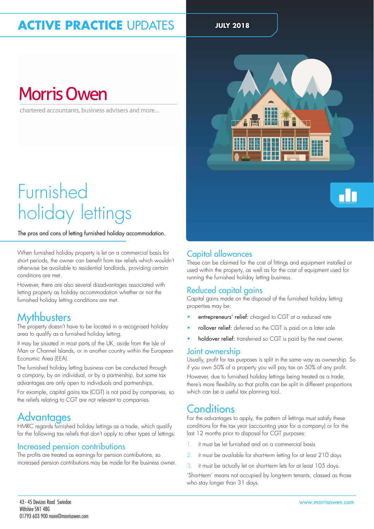## **ACTIVE PRACTICE UPDATES** JULY 2018

# **Morris Owen**

chartered accountants, business advisers and more...

# Furnished holiday lettings

#### The pros and cons of letting furnished holiday accommodation.

When furnished holiday property is let on a commercial basis for short periods, the owner can benefit from tax reliefs which wouldn't otherwise be available to residential landlords, providing certain conditions are met.

However, there are also several disadvantages associated with letting property as holiday accommodation whether or not the furnished holiday letting conditions are met.

#### **Mythbusters**

The property doesn't have to be located in a recognised holiday area to qualify as a furnished holiday letting.

It may be situated in most parts of the UK, aside from the Isle of Man or Channel Islands, or in another country within the European Economic Area (EEA).

The furnished holiday letting business can be conducted through a company, by an individual, or by a partnership, but some tax advantages are only open to individuals and partnerships.

For example, capital gains tax (CGT) is not paid by companies, so the reliefs relating to CGT are not relevant to companies.

### **Advantages**

HMRC regards furnished holiday lettings as a trade, which qualify for the following tax reliefs that don't apply to other types of lettings:

#### Increased pension contributions

The profits are treated as earnings for pension contributions, so increased pension contributions may be made for the business owner.



#### Capital allowances

These can be claimed for the cost of ittings and equipment installed or used within the property, as well as for the cost of equipment used for running the furnished holiday letting business.

#### Reduced capital gains

Capital gains made on the disposal of the furnished holiday letting properties may be:

- entrepreneurs' relief: charged to CGT at a reduced rate
- rollover relief: deferred so the CGT is paid on a later sale
- holdover relief: transferred so CGT is paid by the next owner.

#### Joint ownership

Usually, profit for tax purposes is split in the same way as ownership. So if you own 50% of a property you will pay tax on 50% of any profit.

However, due to furnished holiday lettings being treated as a trade, there's more flexibility so that profits can be split in different proportions which can be a useful tax planning tool.

#### **Conditions**

For the advantages to apply, the pattern of lettings must satisfy these conditions for the tax year (accounting year for a company) or for the last 12 months prior to disposal for CGT purposes:

- it must be let furnished and on a commercial basis
- it must be available for short-term letting for at least 210 days
- 3. it must be actually let on short-term lets for at least 105 days.

'Short-term' means not occupied by long-term tenants, classed as those who stay longer than 31 days.